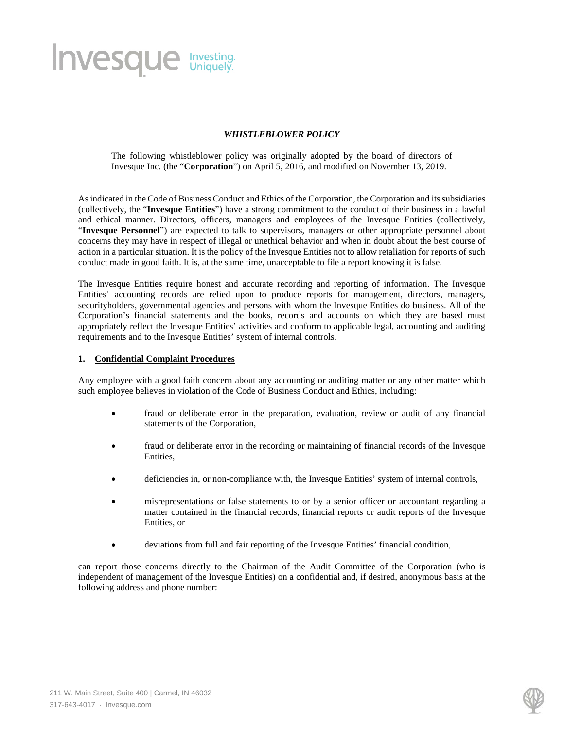# **Invesque** Investing.

## *WHISTLEBLOWER POLICY*

The following whistleblower policy was originally adopted by the board of directors of Invesque Inc. (the "**Corporation**") on April 5, 2016, and modified on November 13, 2019.

As indicated in the Code of Business Conduct and Ethics of the Corporation, the Corporation and its subsidiaries (collectively, the "**Invesque Entities**") have a strong commitment to the conduct of their business in a lawful and ethical manner. Directors, officers, managers and employees of the Invesque Entities (collectively, "**Invesque Personnel**") are expected to talk to supervisors, managers or other appropriate personnel about concerns they may have in respect of illegal or unethical behavior and when in doubt about the best course of action in a particular situation. It is the policy of the Invesque Entities not to allow retaliation for reports of such conduct made in good faith. It is, at the same time, unacceptable to file a report knowing it is false.

The Invesque Entities require honest and accurate recording and reporting of information. The Invesque Entities' accounting records are relied upon to produce reports for management, directors, managers, securityholders, governmental agencies and persons with whom the Invesque Entities do business. All of the Corporation's financial statements and the books, records and accounts on which they are based must appropriately reflect the Invesque Entities' activities and conform to applicable legal, accounting and auditing requirements and to the Invesque Entities' system of internal controls.

#### **1. Confidential Complaint Procedures**

Any employee with a good faith concern about any accounting or auditing matter or any other matter which such employee believes in violation of the Code of Business Conduct and Ethics, including:

- fraud or deliberate error in the preparation, evaluation, review or audit of any financial statements of the Corporation,
- fraud or deliberate error in the recording or maintaining of financial records of the Invesque Entities,
- deficiencies in, or non-compliance with, the Invesque Entities' system of internal controls,
- misrepresentations or false statements to or by a senior officer or accountant regarding a matter contained in the financial records, financial reports or audit reports of the Invesque Entities, or
- deviations from full and fair reporting of the Invesque Entities' financial condition,

can report those concerns directly to the Chairman of the Audit Committee of the Corporation (who is independent of management of the Invesque Entities) on a confidential and, if desired, anonymous basis at the following address and phone number: